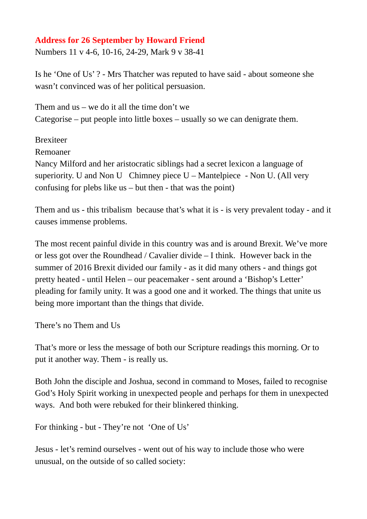## **Address for 26 September by Howard Friend**

Numbers 11 v 4-6, 10-16, 24-29, Mark 9 v 38-41

Is he 'One of Us' ? - Mrs Thatcher was reputed to have said - about someone she wasn't convinced was of her political persuasion.

Them and  $us - we$  do it all the time don't we Categorise – put people into little boxes – usually so we can denigrate them.

**Brexiteer** 

Remoaner

Nancy Milford and her aristocratic siblings had a secret lexicon a language of superiority. U and Non U Chimney piece  $U -$ Mantelpiece - Non U. (All very confusing for plebs like us  $-$  but then  $-$  that was the point)

Them and us - this tribalism because that's what it is - is very prevalent today - and it causes immense problems.

The most recent painful divide in this country was and is around Brexit. We've more or less got over the Roundhead / Cavalier divide – I think. However back in the summer of 2016 Brexit divided our family - as it did many others - and things got pretty heated - until Helen – our peacemaker - sent around a 'Bishop's Letter' pleading for family unity. It was a good one and it worked. The things that unite us being more important than the things that divide.

There's no Them and Us

That's more or less the message of both our Scripture readings this morning. Or to put it another way. Them - is really us.

Both John the disciple and Joshua, second in command to Moses, failed to recognise God's Holy Spirit working in unexpected people and perhaps for them in unexpected ways. And both were rebuked for their blinkered thinking.

For thinking - but - They're not 'One of Us'

Jesus - let's remind ourselves - went out of his way to include those who were unusual, on the outside of so called society: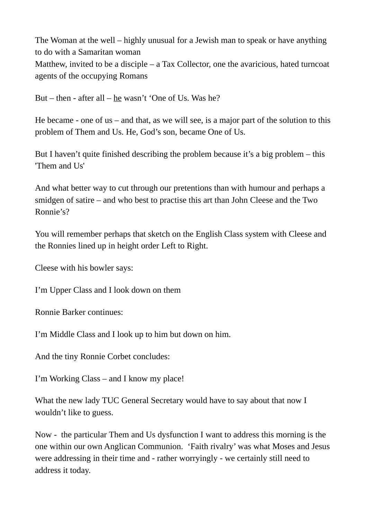The Woman at the well – highly unusual for a Jewish man to speak or have anything to do with a Samaritan woman Matthew, invited to be a disciple – a Tax Collector, one the avaricious, hated turncoat agents of the occupying Romans

But – then - after all – he wasn't 'One of Us. Was he?

He became - one of us  $-$  and that, as we will see, is a major part of the solution to this problem of Them and Us. He, God's son, became One of Us.

But I haven't quite finished describing the problem because it's a big problem – this 'Them and Us'

And what better way to cut through our pretentions than with humour and perhaps a smidgen of satire – and who best to practise this art than John Cleese and the Two Ronnie's?

You will remember perhaps that sketch on the English Class system with Cleese and the Ronnies lined up in height order Left to Right.

Cleese with his bowler says:

I'm Upper Class and I look down on them

Ronnie Barker continues:

I'm Middle Class and I look up to him but down on him.

And the tiny Ronnie Corbet concludes:

I'm Working Class – and I know my place!

What the new lady TUC General Secretary would have to say about that now I wouldn't like to guess.

Now - the particular Them and Us dysfunction I want to address this morning is the one within our own Anglican Communion. 'Faith rivalry' was what Moses and Jesus were addressing in their time and - rather worryingly - we certainly still need to address it today.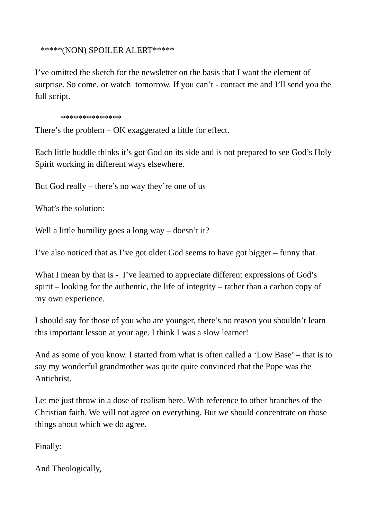\*\*\*\*\*(NON) SPOILER ALERT\*\*\*\*\*

I've omitted the sketch for the newsletter on the basis that I want the element of surprise. So come, or watch tomorrow. If you can't - contact me and I'll send you the full script.

\*\*\*\*\*\*\*\*\*\*\*\*\*\*

There's the problem – OK exaggerated a little for effect.

Each little huddle thinks it's got God on its side and is not prepared to see God's Holy Spirit working in different ways elsewhere.

But God really – there's no way they're one of us

What's the solution:

Well a little humility goes a long way – doesn't it?

I've also noticed that as I've got older God seems to have got bigger – funny that.

What I mean by that is - I've learned to appreciate different expressions of God's spirit – looking for the authentic, the life of integrity – rather than a carbon copy of my own experience.

I should say for those of you who are younger, there's no reason you shouldn't learn this important lesson at your age. I think I was a slow learner!

And as some of you know. I started from what is often called a 'Low Base' – that is to say my wonderful grandmother was quite quite convinced that the Pope was the Antichrist.

Let me just throw in a dose of realism here. With reference to other branches of the Christian faith. We will not agree on everything. But we should concentrate on those things about which we do agree.

Finally:

And Theologically,